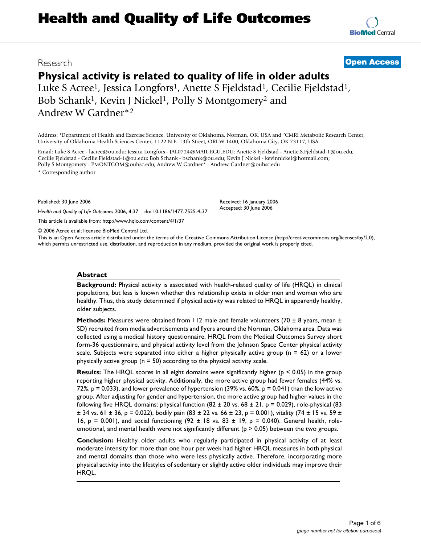# **Health and Quality of Life Outcomes**

### Research **[Open Access](http://www.biomedcentral.com/info/about/charter/)**

# **Physical activity is related to quality of life in older adults**

Luke S Acree<sup>1</sup>, Jessica Longfors<sup>1</sup>, Anette S Fjeldstad<sup>1</sup>, Cecilie Fjeldstad<sup>1</sup>, Bob Schank<sup>1</sup>, Kevin J Nickel<sup>1</sup>, Polly S Montgomery<sup>2</sup> and Andrew W Gardner\*2

Address: 1Department of Health and Exercise Science, University of Oklahoma, Norman, OK, USA and 2CMRI Metabolic Research Center, University of Oklahoma Health Sciences Center, 1122 N.E. 13th Street, ORI-W 1400, Oklahoma City, OK 73117, USA

Email: Luke S Acree - lacree@ou.edu; Jessica Longfors - JAL0724@MAIL.ECU.EDU; Anette S Fjeldstad - Anette.S.Fjeldstad-1@ou.edu; Cecilie Fjeldstad - Cecilie.Fjeldstad-1@ou.edu; Bob Schank - bschank@ou.edu; Kevin J Nickel - kevinnickel@hotmail.com; Polly S Montgomery - PMONTGOM@ouhsc.edu; Andrew W Gardner\* - Andrew-Gardner@ouhsc.edu \* Corresponding author

Published: 30 June 2006

*Health and Quality of Life Outcomes* 2006, **4**:37 doi:10.1186/1477-7525-4-37 [This article is available from: http://www.hqlo.com/content/4/1/37](http://www.hqlo.com/content/4/1/37)

© 2006 Acree et al; licensee BioMed Central Ltd.

This is an Open Access article distributed under the terms of the Creative Commons Attribution License [\(http://creativecommons.org/licenses/by/2.0\)](http://creativecommons.org/licenses/by/2.0), which permits unrestricted use, distribution, and reproduction in any medium, provided the original work is properly cited.

Received: 16 January 2006 Accepted: 30 June 2006

#### **Abstract**

**Background:** Physical activity is associated with health-related quality of life (HRQL) in clinical populations, but less is known whether this relationship exists in older men and women who are healthy. Thus, this study determined if physical activity was related to HRQL in apparently healthy, older subjects.

**Methods:** Measures were obtained from 112 male and female volunteers (70 ± 8 years, mean ± SD) recruited from media advertisements and flyers around the Norman, Oklahoma area. Data was collected using a medical history questionnaire, HRQL from the Medical Outcomes Survey short form-36 questionnaire, and physical activity level from the Johnson Space Center physical activity scale. Subjects were separated into either a higher physically active group ( $n = 62$ ) or a lower physically active group ( $n = 50$ ) according to the physical activity scale.

**Results:** The HRQL scores in all eight domains were significantly higher ( $p \le 0.05$ ) in the group reporting higher physical activity. Additionally, the more active group had fewer females (44% vs. 72%,  $p = 0.033$ ), and lower prevalence of hypertension (39% vs. 60%,  $p = 0.041$ ) than the low active group. After adjusting for gender and hypertension, the more active group had higher values in the following five HRQL domains: physical function  $(82 \pm 20 \text{ vs. } 68 \pm 21, p = 0.029)$ , role-physical  $(83 \pm 21, p = 0.029)$  $\pm$  34 vs. 61  $\pm$  36, p = 0.022), bodily pain (83  $\pm$  22 vs. 66  $\pm$  23, p = 0.001), vitality (74  $\pm$  15 vs. 59  $\pm$ 16, p = 0.001), and social functioning (92  $\pm$  18 vs. 83  $\pm$  19, p = 0.040). General health, roleemotional, and mental health were not significantly different ( $p > 0.05$ ) between the two groups.

**Conclusion:** Healthy older adults who regularly participated in physical activity of at least moderate intensity for more than one hour per week had higher HRQL measures in both physical and mental domains than those who were less physically active. Therefore, incorporating more physical activity into the lifestyles of sedentary or slightly active older individuals may improve their HRQL.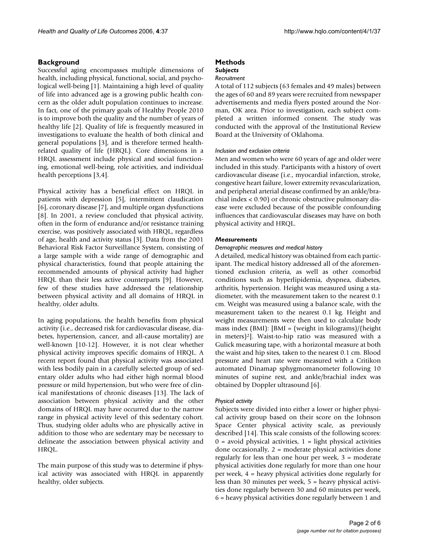#### **Background**

Successful aging encompasses multiple dimensions of health, including physical, functional, social, and psychological well-being [1]. Maintaining a high level of quality of life into advanced age is a growing public health concern as the older adult population continues to increase. In fact, one of the primary goals of Healthy People 2010 is to improve both the quality and the number of years of healthy life [2]. Quality of life is frequently measured in investigations to evaluate the health of both clinical and general populations [3], and is therefore termed healthrelated quality of life (HRQL). Core dimensions in a HRQL assessment include physical and social functioning, emotional well-being, role activities, and individual health perceptions [3,4].

Physical activity has a beneficial effect on HRQL in patients with depression [5], intermittent claudication [6], coronary disease [7], and multiple organ dysfunctions [8]. In 2001, a review concluded that physical activity, often in the form of endurance and/or resistance training exercise, was positively associated with HRQL, regardless of age, health and activity status [3]. Data from the 2001 Behavioral Risk Factor Surveillance System, consisting of a large sample with a wide range of demographic and physical characteristics, found that people attaining the recommended amounts of physical activity had higher HRQL than their less active counterparts [9]. However, few of these studies have addressed the relationship between physical activity and all domains of HRQL in healthy, older adults.

In aging populations, the health benefits from physical activity (i.e., decreased risk for cardiovascular disease, diabetes, hypertension, cancer, and all-cause mortality) are well-known [10-12]. However, it is not clear whether physical activity improves specific domains of HRQL. A recent report found that physical activity was associated with less bodily pain in a carefully selected group of sedentary older adults who had either high normal blood pressure or mild hypertension, but who were free of clinical manifestations of chronic diseases [13]. The lack of association between physical activity and the other domains of HRQL may have occurred due to the narrow range in physical activity level of this sedentary cohort. Thus, studying older adults who are physically active in addition to those who are sedentary may be necessary to delineate the association between physical activity and HRQL.

The main purpose of this study was to determine if physical activity was associated with HRQL in apparently healthy, older subjects.

## **Methods**

#### *Subjects Recruitment*

A total of 112 subjects (63 females and 49 males) between the ages of 60 and 89 years were recruited from newspaper advertisements and media flyers posted around the Norman, OK area. Prior to investigation, each subject completed a written informed consent. The study was conducted with the approval of the Institutional Review Board at the University of Oklahoma.

#### *Inclusion and exclusion criteria*

Men and women who were 60 years of age and older were included in this study. Participants with a history of overt cardiovascular disease (i.e., myocardial infarction, stroke, congestive heart failure, lower extremity revascularization, and peripheral arterial disease confirmed by an ankle/brachial index < 0.90) or chronic obstructive pulmonary disease were excluded because of the possible confounding influences that cardiovascular diseases may have on both physical activity and HRQL.

#### *Measurements*

#### *Demographic measures and medical history*

A detailed, medical history was obtained from each participant. The medical history addressed all of the aforementioned exclusion criteria, as well as other comorbid conditions such as hyperlipidemia, dyspnea, diabetes, arthritis, hypertension. Height was measured using a stadiometer, with the measurement taken to the nearest 0.1 cm. Weight was measured using a balance scale, with the measurement taken to the nearest 0.1 kg. Height and weight measurements were then used to calculate body mass index (BMI): [BMI = (weight in kilograms)/(height in meters)2]. Waist-to-hip ratio was measured with a Gulick measuring tape, with a horizontal measure at both the waist and hip sites, taken to the nearest 0.1 cm. Blood pressure and heart rate were measured with a Critikon automated Dinamap sphygmomanometer following 10 minutes of supine rest, and ankle/brachial index was obtained by Doppler ultrasound [6].

#### *Physical activity*

Subjects were divided into either a lower or higher physical activity group based on their score on the Johnson Space Center physical activity scale, as previously described [14]. This scale consists of the following scores:  $0 =$  avoid physical activities,  $1 =$  light physical activities done occasionally, 2 = moderate physical activities done regularly for less than one hour per week, 3 = moderate physical activities done regularly for more than one hour per week, 4 = heavy physical activities done regularly for less than 30 minutes per week, 5 = heavy physical activities done regularly between 30 and 60 minutes per week, 6 = heavy physical activities done regularly between 1 and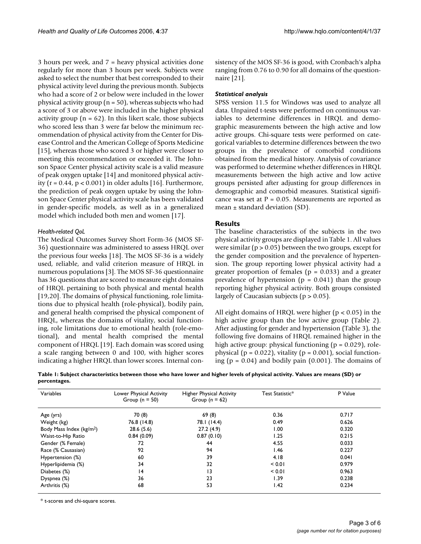3 hours per week, and 7 = heavy physical activities done regularly for more than 3 hours per week. Subjects were asked to select the number that best corresponded to their physical activity level during the previous month. Subjects who had a score of 2 or below were included in the lower physical activity group ( $n = 50$ ), whereas subjects who had a score of 3 or above were included in the higher physical activity group ( $n = 62$ ). In this likert scale, those subjects who scored less than 3 were far below the minimum recommendation of physical activity from the Center for Disease Control and the American College of Sports Medicine [15], whereas those who scored 3 or higher were closer to meeting this recommendation or exceeded it. The Johnson Space Center physical activity scale is a valid measure of peak oxygen uptake [14] and monitored physical activity ( $r = 0.44$ ,  $p < 0.001$ ) in older adults [16]. Furthermore, the prediction of peak oxygen uptake by using the Johnson Space Center physical activity scale has been validated in gender-specific models, as well as in a generalized model which included both men and women [17].

#### *Health-related QoL*

The Medical Outcomes Survey Short Form-36 (MOS SF-36) questionnaire was administered to assess HRQL over the previous four weeks [18]. The MOS SF-36 is a widely used, reliable, and valid criterion measure of HRQL in numerous populations [3]. The MOS SF-36 questionnaire has 36 questions that are scored to measure eight domains of HRQL pertaining to both physical and mental health [19,20]. The domains of physical functioning, role limitations due to physical health (role-physical), bodily pain, and general health comprised the physical component of HRQL, whereas the domains of vitality, social functioning, role limitations due to emotional health (role-emotional), and mental health comprised the mental component of HRQL [19]. Each domain was scored using a scale ranging between 0 and 100, with higher scores indicating a higher HRQL than lower scores. Internal consistency of the MOS SF-36 is good, with Cronbach's alpha ranging from 0.76 to 0.90 for all domains of the questionnaire [21].

#### *Statistical analysis*

SPSS version 11.5 for Windows was used to analyze all data. Unpaired t-tests were performed on continuous variables to determine differences in HRQL and demographic measurements between the high active and low active groups. Chi-square tests were performed on categorical variables to determine differences between the two groups in the prevalence of comorbid conditions obtained from the medical history. Analysis of covariance was performed to determine whether differences in HRQL measurements between the high active and low active groups persisted after adjusting for group differences in demographic and comorbid measures. Statistical significance was set at  $P = 0.05$ . Measurements are reported as mean  $\pm$  standard deviation (SD).

#### **Results**

The baseline characteristics of the subjects in the two physical activity groups are displayed in Table 1. All values were similar ( $p > 0.05$ ) between the two groups, except for the gender composition and the prevalence of hypertension. The group reporting lower physical activity had a greater proportion of females ( $p = 0.033$ ) and a greater prevalence of hypertension ( $p = 0.041$ ) than the group reporting higher physical activity. Both groups consisted largely of Caucasian subjects ( $p > 0.05$ ).

All eight domains of HRQL were higher ( $p < 0.05$ ) in the high active group than the low active group (Table 2). After adjusting for gender and hypertension (Table 3), the following five domains of HRQL remained higher in the high active group: physical functioning ( $p = 0.029$ ), rolephysical ( $p = 0.022$ ), vitality ( $p = 0.001$ ), social functioning ( $p = 0.04$ ) and bodily pain (0.001). The domains of

**Table 1: Subject characteristics between those who have lower and higher levels of physical activity. Values are means (SD) or percentages.**

| Variables                            | Lower Physical Activity<br>Group ( $n = 50$ ) | Higher Physical Activity<br>Group ( $n = 62$ ) | Test Statistic* | P Value |
|--------------------------------------|-----------------------------------------------|------------------------------------------------|-----------------|---------|
| Age (yrs)                            | 70 (8)                                        | 69(8)                                          | 0.36            | 0.717   |
| Weight (kg)                          | 76.8 (14.8)                                   | 78.1 (14.4)                                    | 0.49            | 0.626   |
| Body Mass Index (kg/m <sup>2</sup> ) | 28.6(5.6)                                     | 27.2(4.9)                                      | 1.00            | 0.320   |
| Waist-to-Hip Ratio                   | 0.84(0.09)                                    | 0.87(0.10)                                     | 1.25            | 0.215   |
| Gender (% Female)                    | 72                                            | 44                                             | 4.55            | 0.033   |
| Race (% Causasian)                   | 92                                            | 94                                             | 1.46            | 0.227   |
| Hypertension (%)                     | 60                                            | 39                                             | 4.18            | 0.041   |
| Hyperlipidemia (%)                   | 34                                            | 32                                             | < 0.01          | 0.979   |
| Diabetes (%)                         | 4                                             | 13                                             | < 0.01          | 0.963   |
| Dyspnea (%)                          | 36                                            | 23                                             | 1.39            | 0.238   |
| Arthritis (%)                        | 68                                            | 53                                             | 1.42            | 0.234   |

\* t-scores and chi-square scores.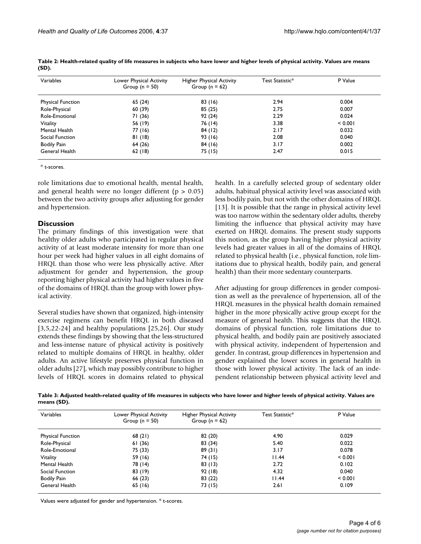| Variables                | Lower Physical Activity<br>Group ( $n = 50$ ) | Higher Physical Activity<br>Group ( $n = 62$ ) | Test Statistic* | P Value |
|--------------------------|-----------------------------------------------|------------------------------------------------|-----------------|---------|
| <b>Physical Function</b> | 65(24)                                        | 83(16)                                         | 2.94            | 0.004   |
| Role-Physical            | 60 (39)                                       | 85(25)                                         | 2.75            | 0.007   |
| Role-Emotional           | 71(36)                                        | 92(24)                                         | 2.29            | 0.024   |
| Vitality                 | 56 (19)                                       | 76 (14)                                        | 3.38            | < 0.001 |
| Mental Health            | 77 (16)                                       | 84 (12)                                        | 2.17            | 0.032   |
| Social Function          | 81(18)                                        | 93 (16)                                        | 2.08            | 0.040   |
| <b>Bodily Pain</b>       | 64 (26)                                       | 84 (16)                                        | 3.17            | 0.002   |
| General Health           | 62(18)                                        | 75 (15)                                        | 2.47            | 0.015   |

**Table 2: Health-related quality of life measures in subjects who have lower and higher levels of physical activity. Values are means (SD).**

\* t-scores.

role limitations due to emotional health, mental health, and general health were no longer different ( $p > 0.05$ ) between the two activity groups after adjusting for gender and hypertension.

#### **Discussion**

The primary findings of this investigation were that healthy older adults who participated in regular physical activity of at least moderate intensity for more than one hour per week had higher values in all eight domains of HRQL than those who were less physically active. After adjustment for gender and hypertension, the group reporting higher physical activity had higher values in five of the domains of HRQL than the group with lower physical activity.

Several studies have shown that organized, high-intensity exercise regimens can benefit HRQL in both diseased [3,5,22-24] and healthy populations [25,26]. Our study extends these findings by showing that the less-structured and less-intense nature of physical activity is positively related to multiple domains of HRQL in healthy, older adults. An active lifestyle preserves physical function in older adults [27], which may possibly contribute to higher levels of HRQL scores in domains related to physical

health. In a carefully selected group of sedentary older adults, habitual physical activity level was associated with less bodily pain, but not with the other domains of HRQL [13]. It is possible that the range in physical activity level was too narrow within the sedentary older adults, thereby limiting the influence that physical activity may have exerted on HRQL domains. The present study supports this notion, as the group having higher physical activity levels had greater values in all of the domains of HRQL related to physical health (i.e., physical function, role limitations due to physical health, bodily pain, and general health) than their more sedentary counterparts.

After adjusting for group differences in gender composition as well as the prevalence of hypertension, all of the HRQL measures in the physical health domain remained higher in the more physically active group except for the measure of general health. This suggests that the HRQL domains of physical function, role limitations due to physical health, and bodily pain are positively associated with physical activity, independent of hypertension and gender. In contrast, group differences in hypertension and gender explained the lower scores in general health in those with lower physical activity. The lack of an independent relationship between physical activity level and

**Table 3: Adjusted health-related quality of life measures in subjects who have lower and higher levels of physical activity. Values are means (SD).**

| Variables                | Lower Physical Activity<br>Group ( $n = 50$ ) | Higher Physical Activity<br>Group ( $n = 62$ ) | Test Statistic* | P Value |
|--------------------------|-----------------------------------------------|------------------------------------------------|-----------------|---------|
| <b>Physical Function</b> | 68(21)                                        | 82 (20)                                        | 4.90            | 0.029   |
| Role-Physical            | 61 (36)                                       | 83 (34)                                        | 5.40            | 0.022   |
| Role-Emotional           | 75 (33)                                       | 89(31)                                         | 3.17            | 0.078   |
| <b>Vitality</b>          | 59 (16)                                       | 74 (15)                                        | 11.44           | < 0.001 |
| Mental Health            | 78 (14)                                       | 83 (13)                                        | 2.72            | 0.102   |
| Social Function          | 83 (19)                                       | 92(18)                                         | 4.32            | 0.040   |
| <b>Bodily Pain</b>       | 66(23)                                        | 83(22)                                         | 11.44           | < 0.001 |
| General Health           | 65 (16)                                       | 73 (15)                                        | 2.61            | 0.109   |

Values were adjusted for gender and hypertension. \* t-scores.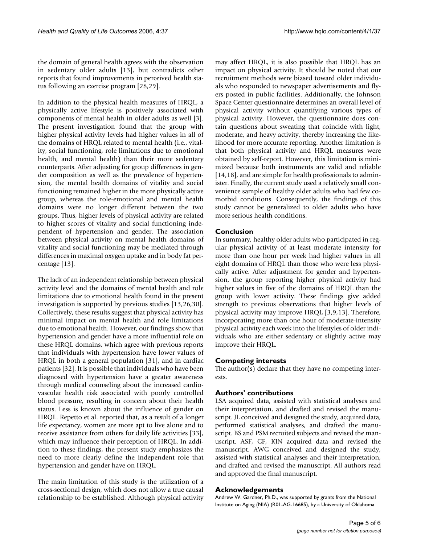the domain of general health agrees with the observation in sedentary older adults [13], but contradicts other reports that found improvements in perceived health status following an exercise program [28,29].

In addition to the physical health measures of HRQL, a physically active lifestyle is positively associated with components of mental health in older adults as well [3]. The present investigation found that the group with higher physical activity levels had higher values in all of the domains of HRQL related to mental health (i.e., vitality, social functioning, role limitations due to emotional health, and mental health) than their more sedentary counterparts. After adjusting for group differences in gender composition as well as the prevalence of hypertension, the mental health domains of vitality and social functioning remained higher in the more physically active group, whereas the role-emotional and mental health domains were no longer different between the two groups. Thus, higher levels of physical activity are related to higher scores of vitality and social functioning independent of hypertension and gender. The association between physical activity on mental health domains of vitality and social functioning may be mediated through differences in maximal oxygen uptake and in body fat percentage [13].

The lack of an independent relationship between physical activity level and the domains of mental health and role limitations due to emotional health found in the present investigation is supported by previous studies [13,26,30]. Collectively, these results suggest that physical activity has minimal impact on mental health and role limitations due to emotional health. However, our findings show that hypertension and gender have a more influential role on these HRQL domains, which agree with previous reports that individuals with hypertension have lower values of HRQL in both a general population [31], and in cardiac patients [32]. It is possible that individuals who have been diagnosed with hypertension have a greater awareness through medical counseling about the increased cardiovascular health risk associated with poorly controlled blood pressure, resulting in concern about their health status. Less is known about the influence of gender on HRQL. Repetto et al. reported that, as a result of a longer life expectancy, women are more apt to live alone and to receive assistance from others for daily life activities [33], which may influence their perception of HRQL. In addition to these findings, the present study emphasizes the need to more clearly define the independent role that hypertension and gender have on HRQL.

The main limitation of this study is the utilization of a cross-sectional design, which does not allow a true causal relationship to be established. Although physical activity may affect HRQL, it is also possible that HRQL has an impact on physical activity. It should be noted that our recruitment methods were biased toward older individuals who responded to newspaper advertisements and flyers posted in public facilities. Additionally, the Johnson Space Center questionnaire determines an overall level of physical activity without quantifying various types of physical activity. However, the questionnaire does contain questions about sweating that coincide with light, moderate, and heavy activity, thereby increasing the likelihood for more accurate reporting. Another limitation is that both physical activity and HRQL measures were obtained by self-report. However, this limitation is minimized because both instruments are valid and reliable [14,18], and are simple for health professionals to administer. Finally, the current study used a relatively small convenience sample of healthy older adults who had few comorbid conditions. Consequently, the findings of this study cannot be generalized to older adults who have more serious health conditions.

#### **Conclusion**

In summary, healthy older adults who participated in regular physical activity of at least moderate intensity for more than one hour per week had higher values in all eight domains of HRQL than those who were less physically active. After adjustment for gender and hypertension, the group reporting higher physical activity had higher values in five of the domains of HRQL than the group with lower activity. These findings give added strength to previous observations that higher levels of physical activity may improve HRQL [3,9,13]. Therefore, incorporating more than one hour of moderate-intensity physical activity each week into the lifestyles of older individuals who are either sedentary or slightly active may improve their HRQL.

#### **Competing interests**

The author(s) declare that they have no competing interests.

#### **Authors' contributions**

LSA acquired data, assisted with statistical analyses and their interpretation, and drafted and revised the manuscript. JL conceived and designed the study, acquired data, performed statistical analyses, and drafted the manuscript. BS and PSM recruited subjects and revised the manuscript. ASF, CF, KJN acquired data and revised the manuscript. AWG conceived and designed the study, assisted with statistical analyses and their interpretation, and drafted and revised the manuscript. All authors read and approved the final manuscript.

#### **Acknowledgements**

Andrew W. Gardner, Ph.D., was supported by grants from the National Institute on Aging (NIA) (R01-AG-16685), by a University of Oklahoma